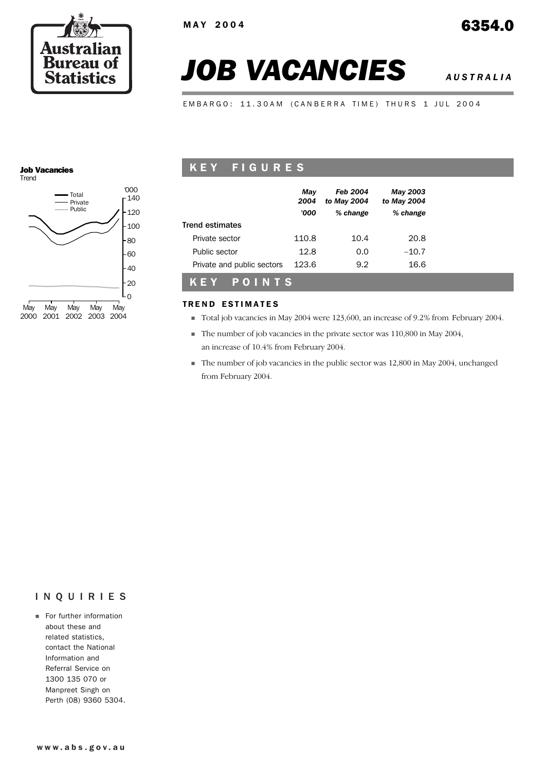

# *JOB VACANCIES AUSTRALIA*

EMBARGO: 11.30AM (CANBERRA TIME) THURS 1 JUL 2004

#### Job Vacancies **Trend**



## KEY FIGURES

|                            | May<br>2004<br>'000 | <b>Feb 2004</b><br>to May 2004<br>% change | May 2003<br>to May 2004<br>% change |
|----------------------------|---------------------|--------------------------------------------|-------------------------------------|
| Trend estimates            |                     |                                            |                                     |
| Private sector             | 110.8               | 10.4                                       | 20.8                                |
| Public sector              | 12.8                | 0.0                                        | $-10.7$                             |
| Private and public sectors | 123.6               | 9.2                                        | 16.6                                |
| POINTS<br>KEY              |                     |                                            |                                     |

#### TREND ESTIMATES

- ! Total job vacancies in May 2004 were 123,600, an increase of 9.2% from February 2004.
- ! The number of job vacancies in the private sector was 110,800 in May 2004, an increase of 10.4% from February 2004.
- ! The number of job vacancies in the public sector was 12,800 in May 2004, unchanged from February 2004.

#### INQUIRIES

**Exercise Exercise For further information** about these and related statistics, contact the National Information and Referral Service on 1300 135 070 or Manpreet Singh on Perth (08) 9360 5304.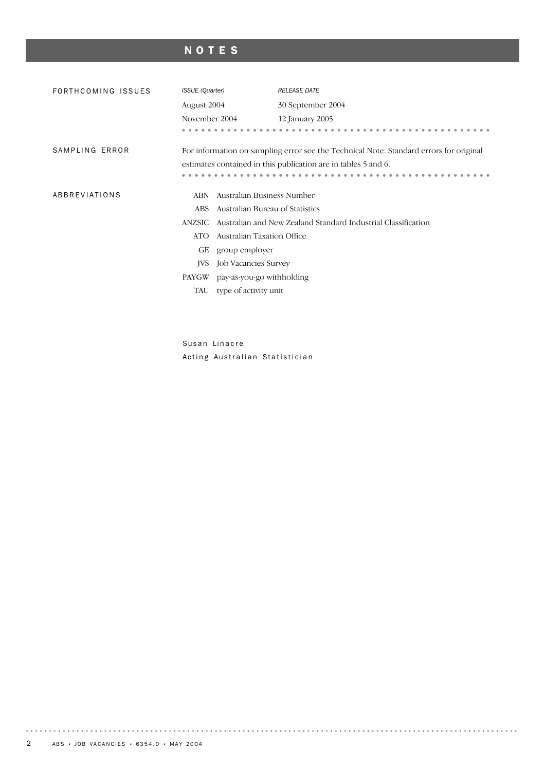# NOTES

| FORTHCOMING ISSUES | <b>ISSUE</b> (Quarter)                                                                 |                                 | <b>RELEASE DATE</b>                                            |  |  |  |
|--------------------|----------------------------------------------------------------------------------------|---------------------------------|----------------------------------------------------------------|--|--|--|
|                    | August 2004                                                                            |                                 | 30 September 2004                                              |  |  |  |
|                    | November 2004                                                                          |                                 | 12 January 2005                                                |  |  |  |
|                    |                                                                                        |                                 |                                                                |  |  |  |
| SAMPLING ERROR     | For information on sampling error see the Technical Note. Standard errors for original |                                 |                                                                |  |  |  |
|                    |                                                                                        |                                 | estimates contained in this publication are in tables 5 and 6. |  |  |  |
|                    |                                                                                        |                                 |                                                                |  |  |  |
| ABBREVIATIONS      | <b>ABN</b>                                                                             | Australian Business Number      |                                                                |  |  |  |
|                    | ABS.                                                                                   | Australian Bureau of Statistics |                                                                |  |  |  |
|                    | ANZSIC                                                                                 |                                 | Australian and New Zealand Standard Industrial Classification  |  |  |  |
|                    | ATO                                                                                    | Australian Taxation Office      |                                                                |  |  |  |
|                    | GЕ                                                                                     | group employer                  |                                                                |  |  |  |
|                    | <b>IVS</b>                                                                             | Job Vacancies Survey            |                                                                |  |  |  |
|                    | PAYGW                                                                                  | pay-as-you-go withholding       |                                                                |  |  |  |
|                    | TAU                                                                                    | type of activity unit           |                                                                |  |  |  |
|                    |                                                                                        |                                 |                                                                |  |  |  |

Susan Linacre Acting Australian Statistician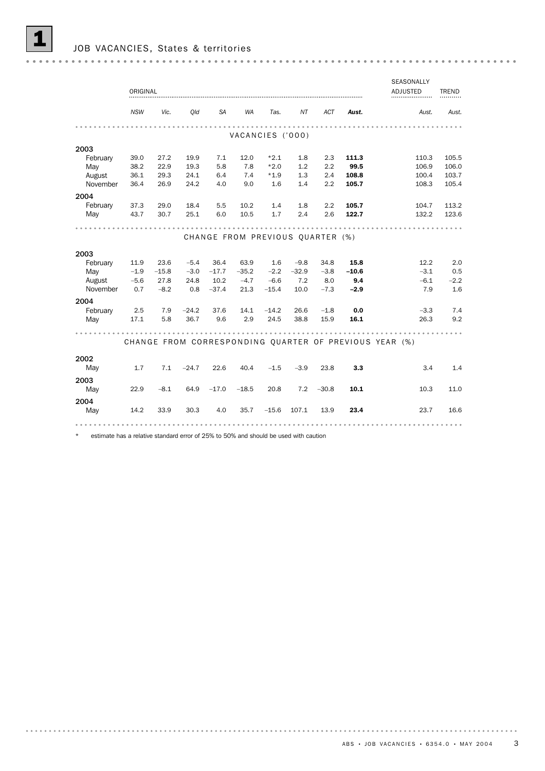|                  |             |            |         |           |                                  |         |              |            |         | SEASONALLY                                             |              |
|------------------|-------------|------------|---------|-----------|----------------------------------|---------|--------------|------------|---------|--------------------------------------------------------|--------------|
|                  | ORIGINAL    |            |         |           |                                  |         |              |            |         | <b>ADJUSTED</b>                                        | <b>TREND</b> |
|                  |             |            |         |           |                                  |         |              |            |         |                                                        |              |
|                  | <b>NSW</b>  | Vic.       | Old     | <b>SA</b> | <b>WA</b>                        | Tas.    | NT           | <b>ACT</b> | Aust.   | Aust.                                                  | Aust.        |
|                  |             |            |         |           |                                  |         |              |            |         |                                                        |              |
|                  |             |            |         |           | VACANCIES ('000)                 |         |              |            |         |                                                        |              |
| 2003             |             |            |         |           |                                  |         |              |            |         |                                                        |              |
| February         | 39.0        | 27.2       | 19.9    | 7.1       | 12.0                             | $*2.1$  | 1.8          | 2.3        | 111.3   | 110.3                                                  | 105.5        |
| May              | 38.2        | 22.9       | 19.3    | 5.8       | 7.8                              | $*2.0$  | 1.2          | 2.2        | 99.5    | 106.9                                                  | 106.0        |
| August           | 36.1        | 29.3       | 24.1    | 6.4       | 7.4                              | $*1.9$  | 1.3          | 2.4        | 108.8   | 100.4                                                  | 103.7        |
| November         | 36.4        | 26.9       | 24.2    | 4.0       | 9.0                              | 1.6     | 1.4          | 2.2        | 105.7   | 108.3                                                  | 105.4        |
| 2004             |             |            |         |           |                                  |         |              |            |         |                                                        |              |
| February         | 37.3        | 29.0       | 18.4    | 5.5       | 10.2                             | 1.4     | 1.8          | 2.2        | 105.7   | 104.7                                                  | 113.2        |
| May              | 43.7        | 30.7       | 25.1    | 6.0       | 10.5                             | 1.7     | 2.4          | 2.6        | 122.7   | 132.2                                                  | 123.6        |
|                  |             |            |         |           |                                  |         |              |            |         |                                                        |              |
|                  |             |            |         |           |                                  |         |              |            |         |                                                        |              |
|                  |             |            |         |           | CHANGE FROM PREVIOUS QUARTER (%) |         |              |            |         |                                                        |              |
| 2003             |             |            |         |           |                                  |         |              |            |         |                                                        |              |
| February         | 11.9        | 23.6       | $-5.4$  | 36.4      | 63.9                             | 1.6     | $-9.8$       | 34.8       | 15.8    | 12.2                                                   | 2.0          |
| May              | $-1.9$      | $-15.8$    | $-3.0$  | $-17.7$   | $-35.2$                          | $-2.2$  | $-32.9$      | $-3.8$     | $-10.6$ | $-3.1$                                                 | 0.5          |
| August           | $-5.6$      | 27.8       | 24.8    | 10.2      | $-4.7$                           | $-6.6$  | 7.2          | 8.0        | 9.4     | $-6.1$                                                 | $-2.2$       |
| November         | 0.7         | $-8.2$     | 0.8     | $-37.4$   | 21.3                             | $-15.4$ | 10.0         | $-7.3$     | $-2.9$  | 7.9                                                    | 1.6          |
|                  |             |            |         |           |                                  |         |              |            |         |                                                        |              |
| 2004<br>February |             |            | $-24.2$ | 37.6      | 14.1                             | $-14.2$ |              | $-1.8$     | 0.0     | $-3.3$                                                 | 7.4          |
| May              | 2.5<br>17.1 | 7.9<br>5.8 | 36.7    | 9.6       | 2.9                              | 24.5    | 26.6<br>38.8 | 15.9       | 16.1    | 26.3                                                   | 9.2          |
|                  |             |            |         |           |                                  |         |              |            |         |                                                        |              |
|                  |             |            |         |           |                                  |         |              |            |         |                                                        |              |
|                  |             |            |         |           |                                  |         |              |            |         | CHANGE FROM CORRESPONDING QUARTER OF PREVIOUS YEAR (%) |              |
|                  |             |            |         |           |                                  |         |              |            |         |                                                        |              |
| 2002             |             |            |         |           |                                  |         |              |            |         |                                                        |              |
| May              | 1.7         | 7.1        | $-24.7$ | 22.6      | 40.4                             | $-1.5$  | $-3.9$       | 23.8       | 3.3     | 3.4                                                    | 1.4          |
| 2003             |             |            |         |           |                                  |         |              |            |         |                                                        |              |
| May              | 22.9        | $-8.1$     | 64.9    | $-17.0$   | $-18.5$                          | 20.8    | 7.2          | $-30.8$    | 10.1    | 10.3                                                   | 11.0         |
| 2004             |             |            |         |           |                                  |         |              |            |         |                                                        |              |
| May              | 14.2        | 33.9       | 30.3    | 4.0       | 35.7                             | $-15.6$ | 107.1        | 13.9       | 23.4    | 23.7                                                   | 16.6         |
|                  |             |            |         |           |                                  |         |              |            |         |                                                        |              |
|                  |             |            |         |           |                                  |         |              |            |         |                                                        |              |

\* estimate has a relative standard error of 25% to 50% and should be used with caution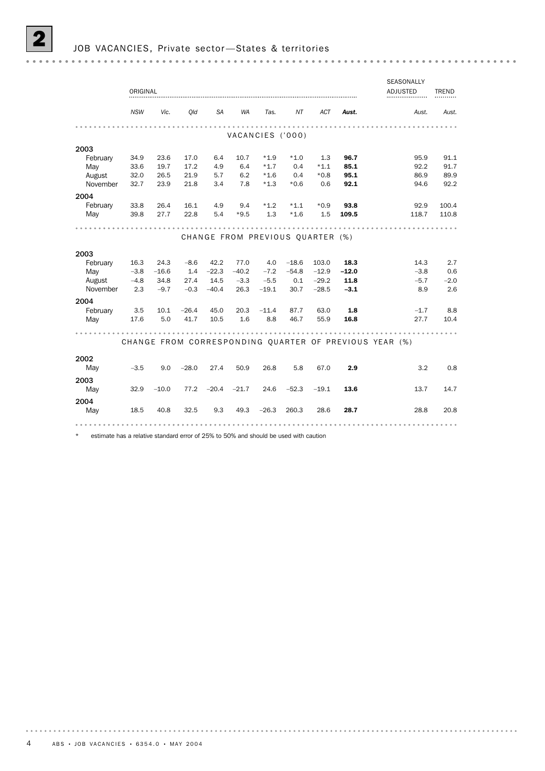|          |            |         |         |         |           |                  |                                  |         |         | SEASONALLY                                             |              |
|----------|------------|---------|---------|---------|-----------|------------------|----------------------------------|---------|---------|--------------------------------------------------------|--------------|
|          | ORIGINAL   |         |         |         |           |                  |                                  |         |         | <b>ADJUSTED</b>                                        | <b>TREND</b> |
|          |            |         |         |         |           |                  |                                  |         |         |                                                        |              |
|          | <b>NSW</b> | Vic.    | Old     | SA      | <b>WA</b> | Tas.             | ΝT                               | ACT     | Aust.   | Aust.                                                  | Aust.        |
|          |            |         |         |         |           |                  |                                  |         |         |                                                        |              |
|          |            |         |         |         |           | VACANCIES ('000) |                                  |         |         |                                                        |              |
| 2003     |            |         |         |         |           |                  |                                  |         |         |                                                        |              |
| February | 34.9       | 23.6    | 17.0    | 6.4     | 10.7      | $*1.9$           | $*1.0$                           | 1.3     | 96.7    | 95.9                                                   | 91.1         |
| May      | 33.6       | 19.7    | 17.2    | 4.9     | 6.4       | $*1.7$           | 0.4                              | $*1.1$  | 85.1    | 92.2                                                   | 91.7         |
| August   | 32.0       | 26.5    | 21.9    | 5.7     | 6.2       | $*1.6$           | 0.4                              | $*0.8$  | 95.1    | 86.9                                                   | 89.9         |
| November | 32.7       | 23.9    | 21.8    | 3.4     | 7.8       | $*1.3$           | $*0.6$                           | 0.6     | 92.1    | 94.6                                                   | 92.2         |
| 2004     |            |         |         |         |           |                  |                                  |         |         |                                                        |              |
| February | 33.8       | 26.4    | 16.1    | 4.9     | 9.4       | $*1.2$           | $*1.1$                           | $*0.9$  | 93.8    | 92.9                                                   | 100.4        |
| May      | 39.8       | 27.7    | 22.8    | 5.4     | $*9.5$    | 1.3              | $*1.6$                           | 1.5     | 109.5   | 118.7                                                  | 110.8        |
|          |            |         |         |         |           |                  |                                  |         |         |                                                        |              |
|          |            |         |         |         |           |                  | CHANGE FROM PREVIOUS QUARTER (%) |         |         |                                                        |              |
|          |            |         |         |         |           |                  |                                  |         |         |                                                        |              |
| 2003     |            |         |         |         |           |                  |                                  |         |         |                                                        |              |
| February | 16.3       | 24.3    | $-8.6$  | 42.2    | 77.0      | 4.0              | $-18.6$                          | 103.0   | 18.3    | 14.3                                                   | 2.7          |
| May      | $-3.8$     | $-16.6$ | 1.4     | $-22.3$ | $-40.2$   | $-7.2$           | $-54.8$                          | $-12.9$ | $-12.0$ | $-3.8$                                                 | 0.6          |
| August   | $-4.8$     | 34.8    | 27.4    | 14.5    | $-3.3$    | $-5.5$           | 0.1                              | $-29.2$ | 11.8    | $-5.7$                                                 | $-2.0$       |
| November | 2.3        | $-9.7$  | $-0.3$  | $-40.4$ | 26.3      | $-19.1$          | 30.7                             | $-28.5$ | $-3.1$  | 8.9                                                    | 2.6          |
| 2004     |            |         |         |         |           |                  |                                  |         |         |                                                        |              |
| February | 3.5        | 10.1    | $-26.4$ | 45.0    | 20.3      | $-11.4$          | 87.7                             | 63.0    | 1.8     | $-1.7$                                                 | 8.8          |
| May      | 17.6       | 5.0     | 41.7    | 10.5    | 1.6       | 8.8              | 46.7                             | 55.9    | 16.8    | 27.7                                                   | 10.4         |
|          |            |         |         |         |           |                  |                                  |         |         |                                                        |              |
|          |            |         |         |         |           |                  |                                  |         |         | CHANGE FROM CORRESPONDING QUARTER OF PREVIOUS YEAR (%) |              |
|          |            |         |         |         |           |                  |                                  |         |         |                                                        |              |
| 2002     |            |         |         |         |           |                  |                                  |         |         |                                                        |              |
| May      | $-3.5$     | 9.0     | $-28.0$ | 27.4    | 50.9      | 26.8             | 5.8                              | 67.0    | 2.9     | 3.2                                                    | 0.8          |
| 2003     |            |         |         |         |           |                  |                                  |         |         |                                                        |              |
| May      | 32.9       | $-10.0$ | 77.2    | $-20.4$ | $-21.7$   | 24.6             | $-52.3$                          | $-19.1$ | 13.6    | 13.7                                                   | 14.7         |
| 2004     |            |         |         |         |           |                  |                                  |         |         |                                                        |              |
| May      | 18.5       | 40.8    | 32.5    | 9.3     | 49.3      | $-26.3$          | 260.3                            | 28.6    | 28.7    | 28.8                                                   | 20.8         |
|          |            |         |         |         |           |                  |                                  |         |         |                                                        |              |
|          |            |         |         |         |           |                  |                                  |         |         |                                                        |              |
|          |            |         |         |         |           |                  |                                  |         |         |                                                        |              |

\* estimate has a relative standard error of 25% to 50% and should be used with caution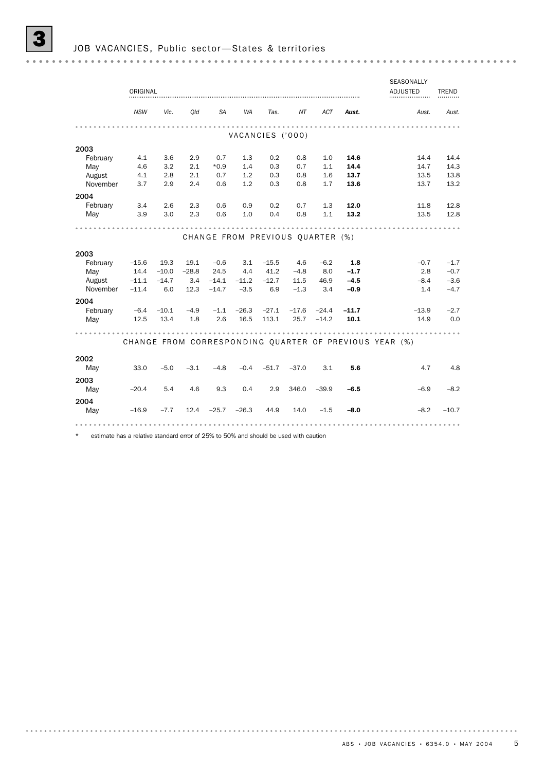|          |            |         |         |           |                  |         |                                  |            |         | <b>SEASONALLY</b>                                      |              |
|----------|------------|---------|---------|-----------|------------------|---------|----------------------------------|------------|---------|--------------------------------------------------------|--------------|
|          | ORIGINAL   |         |         |           |                  |         |                                  |            |         | <b>ADJUSTED</b>                                        | <b>TREND</b> |
|          | <b>NSW</b> | Vic.    | Old     | <b>SA</b> | <b>WA</b>        | Tas.    | NT                               | <b>ACT</b> | Aust.   | Aust.                                                  | Aust.        |
|          |            |         |         |           |                  |         |                                  |            |         |                                                        |              |
|          |            |         |         |           | VACANCIES ('000) |         |                                  |            |         |                                                        |              |
| 2003     |            |         |         |           |                  |         |                                  |            |         |                                                        |              |
| February | 4.1        | 3.6     | 2.9     | 0.7       | 1.3              | 0.2     | 0.8                              | 1.0        | 14.6    | 14.4                                                   | 14.4         |
| May      | 4.6        | 3.2     | 2.1     | $*0.9$    | 1.4              | 0.3     | 0.7                              | 1.1        | 14.4    | 14.7                                                   | 14.3         |
| August   | 4.1        | 2.8     | 2.1     | 0.7       | 1.2              | 0.3     | 0.8                              | 1.6        | 13.7    | 13.5                                                   | 13.8         |
| November | 3.7        | 2.9     | 2.4     | 0.6       | 1.2              | 0.3     | 0.8                              | 1.7        | 13.6    | 13.7                                                   | 13.2         |
| 2004     |            |         |         |           |                  |         |                                  |            |         |                                                        |              |
| February | 3.4        | 2.6     | 2.3     | 0.6       | 0.9              | 0.2     | 0.7                              | 1.3        | 12.0    | 11.8                                                   | 12.8         |
| May      | 3.9        | 3.0     | 2.3     | 0.6       | 1.0              | 0.4     | 0.8                              | 1.1        | 13.2    | 13.5                                                   | 12.8         |
|          |            |         |         |           |                  |         |                                  |            |         |                                                        |              |
|          |            |         |         |           |                  |         | CHANGE FROM PREVIOUS QUARTER (%) |            |         |                                                        |              |
| 2003     |            |         |         |           |                  |         |                                  |            |         |                                                        |              |
| February | $-15.6$    | 19.3    | 19.1    | $-0.6$    | 3.1              | $-15.5$ | 4.6                              | $-6.2$     | 1.8     | $-0.7$                                                 | $-1.7$       |
| May      | 14.4       | $-10.0$ | $-28.8$ | 24.5      | 4.4              | 41.2    | $-4.8$                           | 8.0        | $-1.7$  | 2.8                                                    | $-0.7$       |
| August   | $-11.1$    | $-14.7$ | 3.4     | $-14.1$   | $-11.2$          | $-12.7$ | 11.5                             | 46.9       | $-4.5$  | $-8.4$                                                 | $-3.6$       |
| November | $-11.4$    | 6.0     | 12.3    | $-14.7$   | $-3.5$           | 6.9     | $-1.3$                           | 3.4        | $-0.9$  | 1.4                                                    | $-4.7$       |
| 2004     |            |         |         |           |                  |         |                                  |            |         |                                                        |              |
| February | $-6.4$     | $-10.1$ | $-4.9$  | $-1.1$    | $-26.3$          | $-27.1$ | $-17.6$                          | $-24.4$    | $-11.7$ | $-13.9$                                                | $-2.7$       |
| May      | 12.5       | 13.4    | 1.8     | 2.6       | 16.5             | 113.1   | 25.7                             | $-14.2$    | 10.1    | 14.9                                                   | 0.0          |
|          |            |         |         |           |                  |         |                                  |            |         |                                                        |              |
|          |            |         |         |           |                  |         |                                  |            |         | CHANGE FROM CORRESPONDING QUARTER OF PREVIOUS YEAR (%) |              |
| 2002     |            |         |         |           |                  |         |                                  |            |         |                                                        |              |
| May      | 33.0       | $-5.0$  | $-3.1$  | $-4.8$    | $-0.4$           | $-51.7$ | $-37.0$                          | 3.1        | 5.6     | 4.7                                                    | 4.8          |
| 2003     |            |         |         |           |                  |         |                                  |            |         |                                                        |              |
| May      | $-20.4$    | 5.4     | 4.6     | 9.3       | 0.4              | 2.9     | 346.0                            | $-39.9$    | $-6.5$  | $-6.9$                                                 | $-8.2$       |
| 2004     |            |         |         |           |                  |         |                                  |            |         |                                                        |              |
| May      | $-16.9$    | $-7.7$  | 12.4    | $-25.7$   | $-26.3$          | 44.9    | 14.0                             | $-1.5$     | $-8.0$  | $-8.2$                                                 | $-10.7$      |
|          |            |         |         |           |                  |         |                                  |            |         |                                                        |              |
|          |            |         |         |           |                  |         |                                  |            |         |                                                        |              |

\* estimate has a relative standard error of 25% to 50% and should be used with caution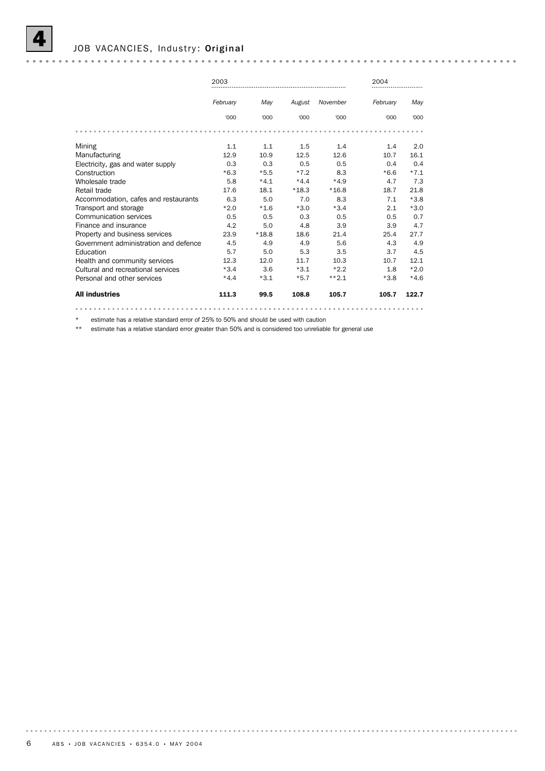

#### JOB VACANCIES, Industry: Original

|                                       | 2003     |         |         |          | 2004     |        |
|---------------------------------------|----------|---------|---------|----------|----------|--------|
|                                       | February | May     | August  | November | February | May    |
|                                       | '000     | 000'    | '000    | '000     | '000     | '000   |
|                                       |          |         |         |          |          |        |
| Mining                                | 1.1      | 1.1     | 1.5     | 1.4      | 1.4      | 2.0    |
| Manufacturing                         | 12.9     | 10.9    | 12.5    | 12.6     | 10.7     | 16.1   |
| Electricity, gas and water supply     | 0.3      | 0.3     | 0.5     | 0.5      | 0.4      | 0.4    |
| Construction                          | $*6.3$   | $*5.5$  | $*7.2$  | 8.3      | $*6.6$   | $*7.1$ |
| Wholesale trade                       | 5.8      | $*4.1$  | $*4.4$  | $*4.9$   | 4.7      | 7.3    |
| Retail trade                          | 17.6     | 18.1    | $*18.3$ | $*16.8$  | 18.7     | 21.8   |
| Accommodation, cafes and restaurants  | 6.3      | 5.0     | 7.0     | 8.3      | 7.1      | $*3.8$ |
| Transport and storage                 | $*2.0$   | $*1.6$  | $*3.0$  | $*3.4$   | 2.1      | $*3.0$ |
| Communication services                | 0.5      | 0.5     | 0.3     | 0.5      | 0.5      | 0.7    |
| Finance and insurance                 | 4.2      | 5.0     | 4.8     | 3.9      | 3.9      | 4.7    |
| Property and business services        | 23.9     | $*18.8$ | 18.6    | 21.4     | 25.4     | 27.7   |
| Government administration and defence | 4.5      | 4.9     | 4.9     | 5.6      | 4.3      | 4.9    |
| Education                             | 5.7      | 5.0     | 5.3     | 3.5      | 3.7      | 4.5    |
| Health and community services         | 12.3     | 12.0    | 11.7    | 10.3     | 10.7     | 12.1   |
| Cultural and recreational services    | $*3.4$   | 3.6     | $*3.1$  | $*2.2$   | 1.8      | $*2.0$ |
| Personal and other services           | $*4.4$   | $*3.1$  | $*5.7$  | $***2.1$ | $*3.8$   | $*4.6$ |
| <b>All industries</b>                 | 111.3    | 99.5    | 108.8   | 105.7    | 105.7    | 122.7  |
|                                       |          |         |         |          |          |        |

\* estimate has a relative standard error of 25% to 50% and should be used with caution

\*\* estimate has a relative standard error greater than 50% and is considered too unreliable for general use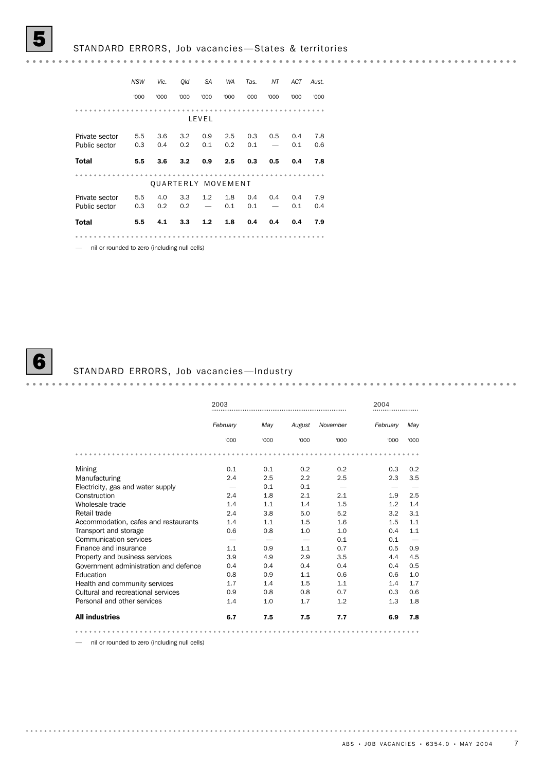#### 5 STANDARD ERRORS, Job vacancies —States & territories

*NSW Vic. Qld SA WA Tas. NT ACT Aust.* '000 '000 '000 '000 '000 '000 '000 '000 '000 LEVEL Private sector 5.5 3.6 3.2 0.9 2.5 0.3 0.5 0.4 7.8 Public sector 0.3 0.4 0.2 0.1 0.2 0.1 — 0.1 0.6 Total 5.5 3.6 3.2 0.9 2.5 0.3 0.5 0.4 7.8 ....................... QUARTERLY MOVEMENT Private sector 5.5 4.0 3.3 1.2 1.8 0.4 0.4 0.4 7.9 Public sector 0.3 0.2 0.2 — 0.1 0.1 — 0.1 0.4 Total 5.5 4.1 3.3 1.2 1.8 0.4 0.4 0.4 7.9 

— nil or rounded to zero (including null cells)



#### STANDARD ERRORS, Job vacancies-Industry

|                                       | 2003     |      |        |          | 2004     |      |
|---------------------------------------|----------|------|--------|----------|----------|------|
|                                       | February | May  | August | November | February | May  |
|                                       | '000     | '000 | '000   | '000     | '000     | '000 |
|                                       |          |      |        |          |          |      |
| Mining                                | 0.1      | 0.1  | 0.2    | 0.2      | 0.3      | 0.2  |
| Manufacturing                         | 2.4      | 2.5  | 2.2    | 2.5      | 2.3      | 3.5  |
| Electricity, gas and water supply     |          | 0.1  | 0.1    |          |          |      |
| Construction                          | 2.4      | 1.8  | 2.1    | 2.1      | 1.9      | 2.5  |
| Wholesale trade                       | 1.4      | 1.1  | 1.4    | 1.5      | 1.2      | 1.4  |
| Retail trade                          | 2.4      | 3.8  | 5.0    | 5.2      | 3.2      | 3.1  |
| Accommodation, cafes and restaurants  | 1.4      | 1.1  | 1.5    | 1.6      | 1.5      | 1.1  |
| Transport and storage                 | 0.6      | 0.8  | 1.0    | 1.0      | 0.4      | 1.1  |
| <b>Communication services</b>         |          |      |        | 0.1      | 0.1      |      |
| Finance and insurance                 | 1.1      | 0.9  | 1.1    | 0.7      | 0.5      | 0.9  |
| Property and business services        | 3.9      | 4.9  | 2.9    | 3.5      | 4.4      | 4.5  |
| Government administration and defence | 0.4      | 0.4  | 0.4    | 0.4      | 0.4      | 0.5  |
| Education                             | 0.8      | 0.9  | 1.1    | 0.6      | 0.6      | 1.0  |
| Health and community services         | 1.7      | 1.4  | 1.5    | 1.1      | 1.4      | 1.7  |
| Cultural and recreational services    | 0.9      | 0.8  | 0.8    | 0.7      | 0.3      | 0.6  |
| Personal and other services           | 1.4      | 1.0  | 1.7    | 1.2      | 1.3      | 1.8  |
| <b>All industries</b>                 | 6.7      | 7.5  | 7.5    | 7.7      | 6.9      | 7.8  |
|                                       |          |      |        |          |          |      |

— nil or rounded to zero (including null cells)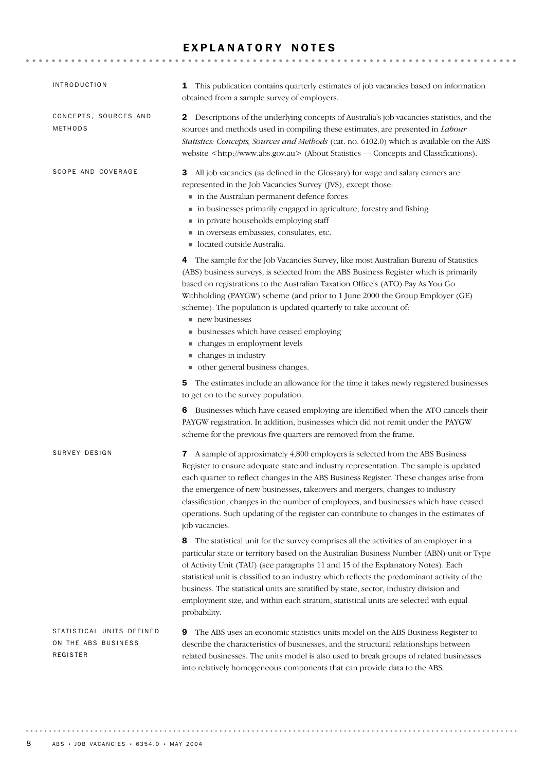#### EXPLANATORY NOTES

| <b>INTRODUCTION</b>                                          | This publication contains quarterly estimates of job vacancies based on information<br>1                                                                                                                                                                                                                                                                                                                                                                                                                                                                                   |
|--------------------------------------------------------------|----------------------------------------------------------------------------------------------------------------------------------------------------------------------------------------------------------------------------------------------------------------------------------------------------------------------------------------------------------------------------------------------------------------------------------------------------------------------------------------------------------------------------------------------------------------------------|
|                                                              | obtained from a sample survey of employers.                                                                                                                                                                                                                                                                                                                                                                                                                                                                                                                                |
| CONCEPTS, SOURCES AND<br>METHODS                             | <b>2</b> Descriptions of the underlying concepts of Australia's job vacancies statistics, and the<br>sources and methods used in compiling these estimates, are presented in Labour<br>Statistics: Concepts, Sources and Methods (cat. no. 6102.0) which is available on the ABS<br>website <http: www.abs.gov.au=""> (About Statistics — Concepts and Classifications).</http:>                                                                                                                                                                                           |
| SCOPE AND COVERAGE                                           | All job vacancies (as defined in the Glossary) for wage and salary earners are<br>3<br>represented in the Job Vacancies Survey (JVS), except those:<br>in the Australian permanent defence forces<br>in businesses primarily engaged in agriculture, forestry and fishing<br>in private households employing staff<br>in overseas embassies, consulates, etc.<br>located outside Australia.                                                                                                                                                                                |
|                                                              | 4 The sample for the Job Vacancies Survey, like most Australian Bureau of Statistics<br>(ABS) business surveys, is selected from the ABS Business Register which is primarily<br>based on registrations to the Australian Taxation Office's (ATO) Pay As You Go<br>Withholding (PAYGW) scheme (and prior to 1 June 2000 the Group Employer (GE)<br>scheme). The population is updated quarterly to take account of:<br>new businesses<br>• businesses which have ceased employing<br>• changes in employment levels<br>• changes in industry                               |
|                                                              | ther general business changes.<br>The estimates include an allowance for the time it takes newly registered businesses<br>5<br>to get on to the survey population.                                                                                                                                                                                                                                                                                                                                                                                                         |
|                                                              | 6 Businesses which have ceased employing are identified when the ATO cancels their<br>PAYGW registration. In addition, businesses which did not remit under the PAYGW<br>scheme for the previous five quarters are removed from the frame.                                                                                                                                                                                                                                                                                                                                 |
| SURVEY DESIGN                                                | 7 A sample of approximately 4,800 employers is selected from the ABS Business<br>Register to ensure adequate state and industry representation. The sample is updated<br>each quarter to reflect changes in the ABS Business Register. These changes arise from<br>the emergence of new businesses, takeovers and mergers, changes to industry<br>classification, changes in the number of employees, and businesses which have ceased<br>operations. Such updating of the register can contribute to changes in the estimates of<br>job vacancies.                        |
|                                                              | The statistical unit for the survey comprises all the activities of an employer in a<br>8<br>particular state or territory based on the Australian Business Number (ABN) unit or Type<br>of Activity Unit (TAU) (see paragraphs 11 and 15 of the Explanatory Notes). Each<br>statistical unit is classified to an industry which reflects the predominant activity of the<br>business. The statistical units are stratified by state, sector, industry division and<br>employment size, and within each stratum, statistical units are selected with equal<br>probability. |
| STATISTICAL UNITS DEFINED<br>ON THE ABS BUSINESS<br>REGISTER | The ABS uses an economic statistics units model on the ABS Business Register to<br>9<br>describe the characteristics of businesses, and the structural relationships between<br>related businesses. The units model is also used to break groups of related businesses<br>into relatively homogeneous components that can provide data to the ABS.                                                                                                                                                                                                                         |

. . . . . . . . .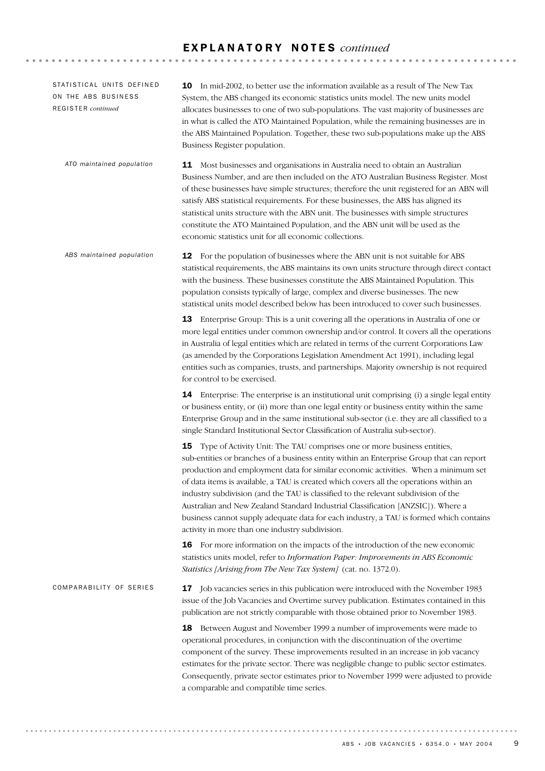#### E X P L A N A T O R Y N O T E S *continued*

17 Job vacancies series in this publication were introduced with the November 1983 issue of the Job Vacancies and Overtime survey publication. Estimates contained in this publication are not strictly comparable with those obtained prior to November 1983. **18** Between August and November 1999 a number of improvements were made to operational procedures, in conjunction with the discontinuation of the overtime component of the survey. These improvements resulted in an increase in job vacancy estimates for the private sector. There was negligible change to public sector estimates. Consequently, private sector estimates prior to November 1999 were adjusted to provide a comparable and compatible time series. COMPARABILITY OF SERIES 12 For the population of businesses where the ABN unit is not suitable for ABS statistical requirements, the ABS maintains its own units structure through direct contact with the business. These businesses constitute the ABS Maintained Population. This population consists typically of large, complex and diverse businesses. The new statistical units model described below has been introduced to cover such businesses. 13 Enterprise Group: This is a unit covering all the operations in Australia of one or more legal entities under common ownership and/or control. It covers all the operations in Australia of legal entities which are related in terms of the current Corporations Law (as amended by the Corporations Legislation Amendment Act 1991), including legal entities such as companies, trusts, and partnerships. Majority ownership is not required for control to be exercised. **14** Enterprise: The enterprise is an institutional unit comprising (i) a single legal entity or business entity, or (ii) more than one legal entity or business entity within the same Enterprise Group and in the same institutional sub-sector (i.e. they are all classified to a single Standard Institutional Sector Classification of Australia sub-sector). 15 Type of Activity Unit: The TAU comprises one or more business entities, sub-entities or branches of a business entity within an Enterprise Group that can report production and employment data for similar economic activities. When a minimum set of data items is available, a TAU is created which covers all the operations within an industry subdivision (and the TAU is classified to the relevant subdivision of the Australian and New Zealand Standard Industrial Classification [ANZSIC]). Where a business cannot supply adequate data for each industry, a TAU is formed which contains activity in more than one industry subdivision. **16** For more information on the impacts of the introduction of the new economic statistics units model, refer to *Information Paper: Improvements in ABS Economic Statistics [Arising from The New Tax System]* (cat. no. 1372.0). *ABS maintained population* 11 Most businesses and organisations in Australia need to obtain an Australian Business Number, and are then included on the ATO Australian Business Register. Most of these businesses have simple structures; therefore the unit registered for an ABN will satisfy ABS statistical requirements. For these businesses, the ABS has aligned its statistical units structure with the ABN unit. The businesses with simple structures constitute the ATO Maintained Population, and the ABN unit will be used as the economic statistics unit for all economic collections. *ATO maintained population* 10 In mid-2002, to better use the information available as a result of The New Tax System, the ABS changed its economic statistics units model. The new units model allocates businesses to one of two sub-populations. The vast majority of businesses are in what is called the ATO Maintained Population, while the remaining businesses are in the ABS Maintained Population. Together, these two sub-populations make up the ABS Business Register population. STATISTICAL UNITS DEFINED ON THE ABS BUSINESS REGISTER *continued*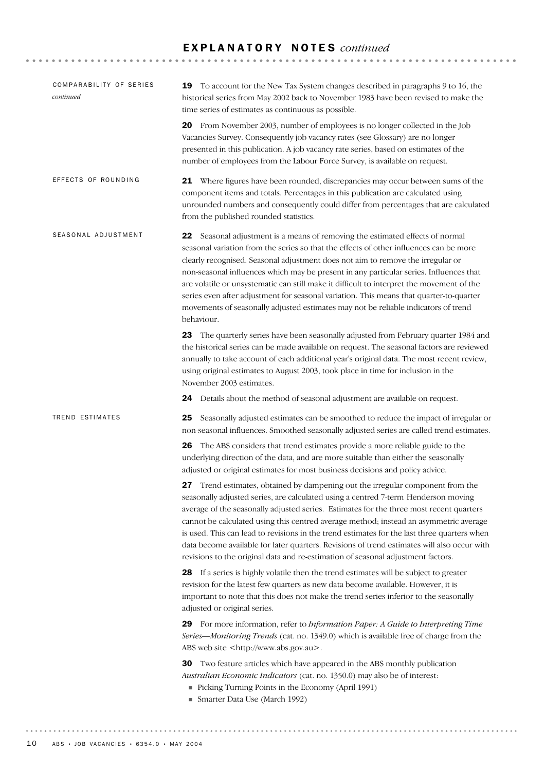#### E X P L A N A T O R Y N O T E S *continued*

| COMPARABILITY OF SERIES<br>continued | 19 To account for the New Tax System changes described in paragraphs 9 to 16, the<br>historical series from May 2002 back to November 1983 have been revised to make the<br>time series of estimates as continuous as possible.                                                                                                                                                                                                                                                                                                                                                                                                                  |
|--------------------------------------|--------------------------------------------------------------------------------------------------------------------------------------------------------------------------------------------------------------------------------------------------------------------------------------------------------------------------------------------------------------------------------------------------------------------------------------------------------------------------------------------------------------------------------------------------------------------------------------------------------------------------------------------------|
|                                      | <b>20</b> From November 2003, number of employees is no longer collected in the Job<br>Vacancies Survey. Consequently job vacancy rates (see Glossary) are no longer<br>presented in this publication. A job vacancy rate series, based on estimates of the<br>number of employees from the Labour Force Survey, is available on request.                                                                                                                                                                                                                                                                                                        |
| EFFECTS OF ROUNDING                  | 21 Where figures have been rounded, discrepancies may occur between sums of the<br>component items and totals. Percentages in this publication are calculated using<br>unrounded numbers and consequently could differ from percentages that are calculated<br>from the published rounded statistics.                                                                                                                                                                                                                                                                                                                                            |
| SEASONAL ADJUSTMENT                  | 22 Seasonal adjustment is a means of removing the estimated effects of normal<br>seasonal variation from the series so that the effects of other influences can be more<br>clearly recognised. Seasonal adjustment does not aim to remove the irregular or<br>non-seasonal influences which may be present in any particular series. Influences that<br>are volatile or unsystematic can still make it difficult to interpret the movement of the<br>series even after adjustment for seasonal variation. This means that quarter-to-quarter<br>movements of seasonally adjusted estimates may not be reliable indicators of trend<br>behaviour. |
|                                      | The quarterly series have been seasonally adjusted from February quarter 1984 and<br>23<br>the historical series can be made available on request. The seasonal factors are reviewed<br>annually to take account of each additional year's original data. The most recent review,<br>using original estimates to August 2003, took place in time for inclusion in the<br>November 2003 estimates.                                                                                                                                                                                                                                                |
|                                      | 24 Details about the method of seasonal adjustment are available on request.                                                                                                                                                                                                                                                                                                                                                                                                                                                                                                                                                                     |
| TREND ESTIMATES                      | Seasonally adjusted estimates can be smoothed to reduce the impact of irregular or<br>25<br>non-seasonal influences. Smoothed seasonally adjusted series are called trend estimates.                                                                                                                                                                                                                                                                                                                                                                                                                                                             |
|                                      | The ABS considers that trend estimates provide a more reliable guide to the<br>26<br>underlying direction of the data, and are more suitable than either the seasonally<br>adjusted or original estimates for most business decisions and policy advice.                                                                                                                                                                                                                                                                                                                                                                                         |
|                                      | 27 Trend estimates, obtained by dampening out the irregular component from the<br>seasonally adjusted series, are calculated using a centred 7-term Henderson moving<br>average of the seasonally adjusted series. Estimates for the three most recent quarters<br>cannot be calculated using this centred average method; instead an asymmetric average<br>is used. This can lead to revisions in the trend estimates for the last three quarters when<br>data become available for later quarters. Revisions of trend estimates will also occur with<br>revisions to the original data and re-estimation of seasonal adjustment factors.       |
|                                      | 28 If a series is highly volatile then the trend estimates will be subject to greater<br>revision for the latest few quarters as new data become available. However, it is<br>important to note that this does not make the trend series inferior to the seasonally<br>adjusted or original series.                                                                                                                                                                                                                                                                                                                                              |
|                                      | 29 For more information, refer to Information Paper: A Guide to Interpreting Time<br>Series—Monitoring Trends (cat. no. 1349.0) which is available free of charge from the<br>ABS web site <http: www.abs.gov.au="">.</http:>                                                                                                                                                                                                                                                                                                                                                                                                                    |
|                                      | Two feature articles which have appeared in the ABS monthly publication<br>30<br>Australian Economic Indicators (cat. no. 1350.0) may also be of interest:<br>Picking Turning Points in the Economy (April 1991)<br>Smarter Data Use (March 1992)                                                                                                                                                                                                                                                                                                                                                                                                |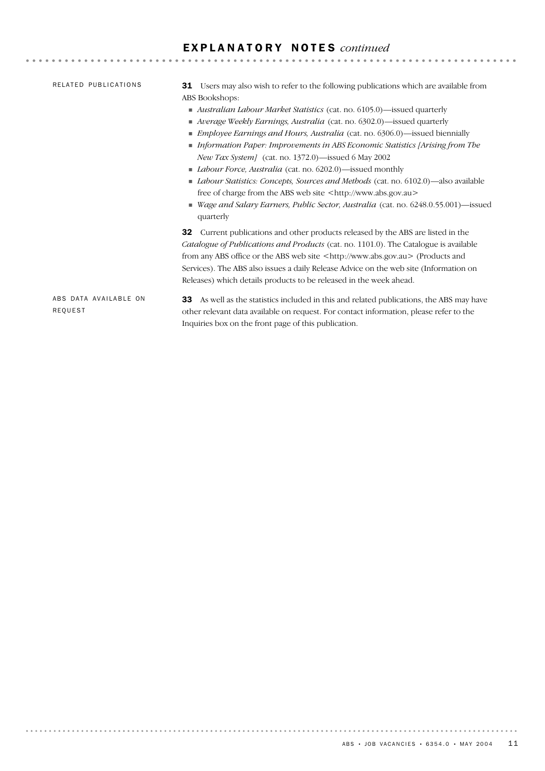# E X P L A N A T O R Y N O T E S *continued*

| RELATED PUBLICATIONS                    | <b>31</b> Users may also wish to refer to the following publications which are available from<br>ABS Bookshops:<br>Australian Labour Market Statistics (cat. no. 6105.0)—issued quarterly<br>■ Average Weekly Earnings, Australia (cat. no. 6302.0)—issued quarterly<br>• <i>Employee Earnings and Hours, Australia</i> (cat. no. 6306.0)—issued biennially<br>$\blacksquare$ Information Paper: Improvements in ABS Economic Statistics [Arising from The<br><i>New Tax System]</i> (cat. no. 1372.0)—issued 6 May 2002<br>• <i>Labour Force, Australia</i> (cat. no. 6202.0)—issued monthly<br>Labour Statistics: Concepts, Sources and Methods (cat. no. 6102.0)-also available<br>free of charge from the ABS web site <http: www.abs.gov.au=""><br/>■ Wage and Salary Earners, Public Sector, Australia (cat. no. 6248.0.55.001)—issued<br/>quarterly</http:> |
|-----------------------------------------|--------------------------------------------------------------------------------------------------------------------------------------------------------------------------------------------------------------------------------------------------------------------------------------------------------------------------------------------------------------------------------------------------------------------------------------------------------------------------------------------------------------------------------------------------------------------------------------------------------------------------------------------------------------------------------------------------------------------------------------------------------------------------------------------------------------------------------------------------------------------|
| ABS DATA AVAILABLE ON<br><b>REQUEST</b> | <b>32</b> Current publications and other products released by the ABS are listed in the<br>Catalogue of Publications and Products (cat. no. 1101.0). The Catalogue is available<br>from any ABS office or the ABS web site <http: www.abs.gov.au=""> (Products and<br/>Services). The ABS also issues a daily Release Advice on the web site (Information on<br/>Releases) which details products to be released in the week ahead.<br/>As well as the statistics included in this and related publications, the ABS may have<br/>33<br/>other relevant data available on request. For contact information, please refer to the<br/>Inquiries box on the front page of this publication.</http:>                                                                                                                                                                   |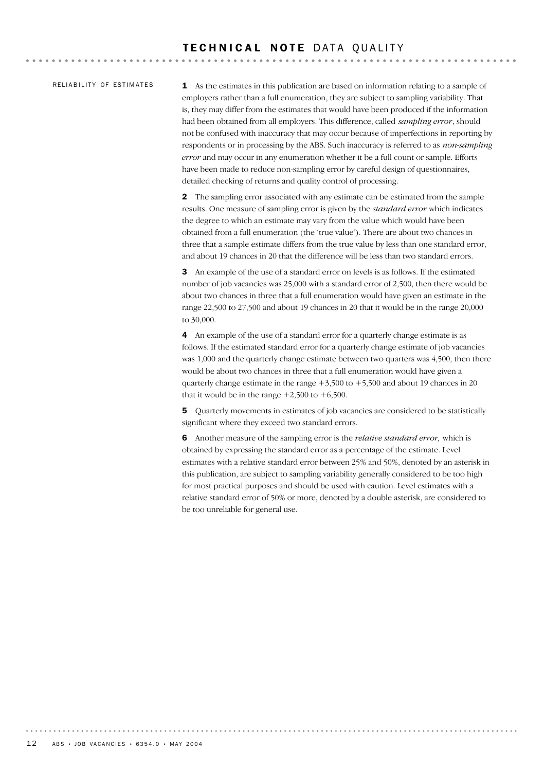#### RELIABILITY OF ESTIMATES

1 As the estimates in this publication are based on information relating to a sample of employers rather than a full enumeration, they are subject to sampling variability. That is, they may differ from the estimates that would have been produced if the information had been obtained from all employers. This difference, called *sampling error*, should not be confused with inaccuracy that may occur because of imperfections in reporting by respondents or in processing by the ABS. Such inaccuracy is referred to as *non-sampling error* and may occur in any enumeration whether it be a full count or sample. Efforts have been made to reduce non-sampling error by careful design of questionnaires, detailed checking of returns and quality control of processing.

2 The sampling error associated with any estimate can be estimated from the sample results. One measure of sampling error is given by the *standard error* which indicates the degree to which an estimate may vary from the value which would have been obtained from a full enumeration (the 'true value'). There are about two chances in three that a sample estimate differs from the true value by less than one standard error, and about 19 chances in 20 that the difference will be less than two standard errors.

3 An example of the use of a standard error on levels is as follows. If the estimated number of job vacancies was 25,000 with a standard error of 2,500, then there would be about two chances in three that a full enumeration would have given an estimate in the range 22,500 to 27,500 and about 19 chances in 20 that it would be in the range 20,000 to 30,000.

4 An example of the use of a standard error for a quarterly change estimate is as follows. If the estimated standard error for a quarterly change estimate of job vacancies was 1,000 and the quarterly change estimate between two quarters was 4,500, then there would be about two chances in three that a full enumeration would have given a quarterly change estimate in the range  $+3,500$  to  $+5,500$  and about 19 chances in 20 that it would be in the range  $+2,500$  to  $+6,500$ .

5 Quarterly movements in estimates of job vacancies are considered to be statistically significant where they exceed two standard errors.

6 Another measure of the sampling error is the *relative standard error,* which is obtained by expressing the standard error as a percentage of the estimate. Level estimates with a relative standard error between 25% and 50%, denoted by an asterisk in this publication, are subject to sampling variability generally considered to be too high for most practical purposes and should be used with caution. Level estimates with a relative standard error of 50% or more, denoted by a double asterisk, are considered to be too unreliable for general use.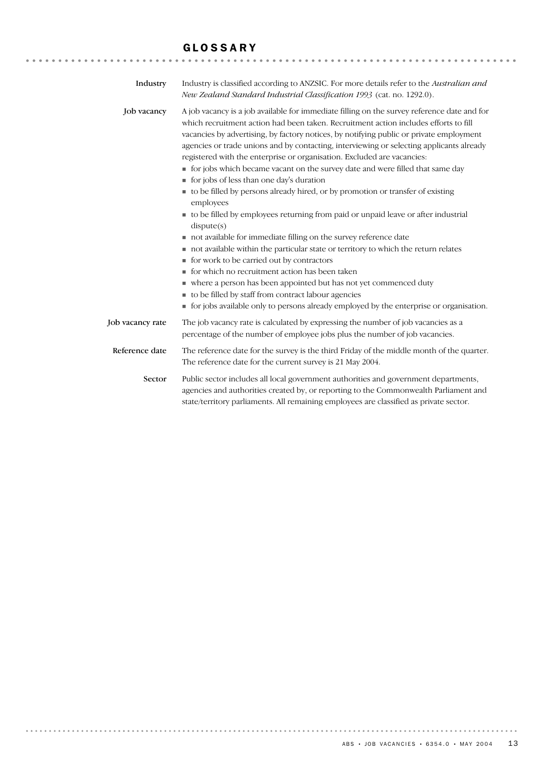#### GLOSSARY

| Industry         | Industry is classified according to ANZSIC. For more details refer to the Australian and<br>New Zealand Standard Industrial Classification 1993 (cat. no. 1292.0).                                                                                                                                                                                                                                                                                                                                                                                                                                                                                                                                                                                                                                                                                                                                                                                                                                                                                                                                                                                                                                                                                                       |
|------------------|--------------------------------------------------------------------------------------------------------------------------------------------------------------------------------------------------------------------------------------------------------------------------------------------------------------------------------------------------------------------------------------------------------------------------------------------------------------------------------------------------------------------------------------------------------------------------------------------------------------------------------------------------------------------------------------------------------------------------------------------------------------------------------------------------------------------------------------------------------------------------------------------------------------------------------------------------------------------------------------------------------------------------------------------------------------------------------------------------------------------------------------------------------------------------------------------------------------------------------------------------------------------------|
| Job vacancy      | A job vacancy is a job available for immediate filling on the survey reference date and for<br>which recruitment action had been taken. Recruitment action includes efforts to fill<br>vacancies by advertising, by factory notices, by notifying public or private employment<br>agencies or trade unions and by contacting, interviewing or selecting applicants already<br>registered with the enterprise or organisation. Excluded are vacancies:<br>• for jobs which became vacant on the survey date and were filled that same day<br>tor jobs of less than one day's duration<br>to be filled by persons already hired, or by promotion or transfer of existing<br>employees<br>to be filled by employees returning from paid or unpaid leave or after industrial<br>dispute(s)<br>not available for immediate filling on the survey reference date<br>not available within the particular state or territory to which the return relates<br>• for work to be carried out by contractors<br>for which no recruitment action has been taken<br>where a person has been appointed but has not yet commenced duty<br>to be filled by staff from contract labour agencies<br>• for jobs available only to persons already employed by the enterprise or organisation. |
| Job vacancy rate | The job vacancy rate is calculated by expressing the number of job vacancies as a<br>percentage of the number of employee jobs plus the number of job vacancies.                                                                                                                                                                                                                                                                                                                                                                                                                                                                                                                                                                                                                                                                                                                                                                                                                                                                                                                                                                                                                                                                                                         |
| Reference date   | The reference date for the survey is the third Friday of the middle month of the quarter.<br>The reference date for the current survey is 21 May 2004.                                                                                                                                                                                                                                                                                                                                                                                                                                                                                                                                                                                                                                                                                                                                                                                                                                                                                                                                                                                                                                                                                                                   |
| Sector           | Public sector includes all local government authorities and government departments,<br>agencies and authorities created by, or reporting to the Commonwealth Parliament and<br>state/territory parliaments. All remaining employees are classified as private sector.                                                                                                                                                                                                                                                                                                                                                                                                                                                                                                                                                                                                                                                                                                                                                                                                                                                                                                                                                                                                    |